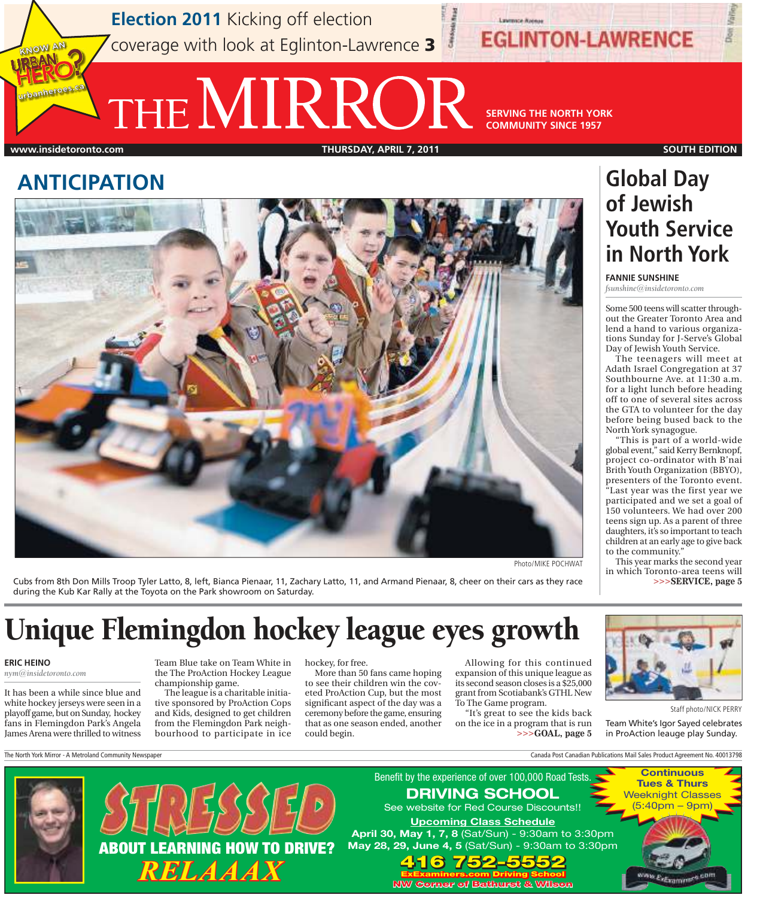**Election 2011** Kicking off election coverage with look at Eglinton-Lawrence 3

THE **NIRROR** SERVING THE NORTH YORK

**COMMUNITY SINCE 1957**

**EGLINTON-LAWRENCE** 

#### **www.insidetoronto.com THURSDAY, APRIL 7, 2011 SOUTH EDITION**

KNOW AN

urbanheroes.ca

**FANNIE SUNSHINE**  *fsunshine@insidetoronto.com* 

**Global Day** 

**of Jewish** 

North York synagogue.

to the community."

"This is part of a world-wide global event," said Kerry Bernknopf, project co-ordinator with B'nai Brith Youth Organization (BBYO), presenters of the Toronto event. "Last year was the first year we participated and we set a goal of 150 volunteers. We had over 200 teens sign up. As a parent of three daughters, it's so important to teach children at an early age to give back

This year marks the second year in which Toronto-area teens will

**>>>SERVICE, page 5**

 Some 500 teens will scatter throughout the Greater Toronto Area and lend a hand to various organizations Sunday for J-Serve's Global Day of Jewish Youth Service. The teenagers will meet at Adath Israel Congregation at 37 Southbourne Ave. at 11:30 a.m. for a light lunch before heading off to one of several sites across the GTA to volunteer for the day before being bused back to the

**Youth Service** 

**in North York**

### **ANTICIPATION**



Photo/MIKE POCHWAT

Cubs from 8th Don Mills Troop Tyler Latto, 8, left, Bianca Pienaar, 11, Zachary Latto, 11, and Armand Pienaar, 8, cheer on their cars as they race during the Kub Kar Rally at the Toyota on the Park showroom on Saturday.

# Unique Flemingdon hockey league eyes growth

#### **ERIC HEINO**

*nym@insidetoronto.com* 

 It has been a while since blue and white hockey jerseys were seen in a playoff game, but on Sunday, hockey fans in Flemingdon Park's Angela James Arena were thrilled to witness

Team Blue take on Team White in the The ProAction Hockey League championship game.

The league is a charitable initiative sponsored by ProAction Cops and Kids, designed to get children from the Flemingdon Park neighbourhood to participate in ice hockey, for free.

More than 50 fans came hoping to see their children win the coveted ProAction Cup, but the most significant aspect of the day was a ceremony before the game, ensuring that as one season ended, another could begin.

Allowing for this continued expansion of this unique league as its second season closes is a \$25,000 grant from Scotiabank's GTHL New To The Game program.

"It's great to see the kids back on the ice in a program that is run **>>>GOAL, page 5**



Staff photo/NICK PERRY

Team White's Igor Sayed celebrates in ProAction leauge play Sunday.

The North York Mirror - A Metroland Community Newspaper Canada Post Canadian Publications Mail Sales Product Agreement No. 40013798



May 28, 29, June 4, 5 (Sat/Sun) - 9:30am to 3:30pm 416 752-5552 **ExExaminers.com Driving School** 416 752-5552 **ExExaminers.com Driving School NW Corner of Bathurst & Wilson** 

Benefit by the experience of over 100,000 Road Tests. DRIVING SCHOOL See website for Red Course Discounts!! Upcoming Class Schedule



Extrament<sup>es</sup>